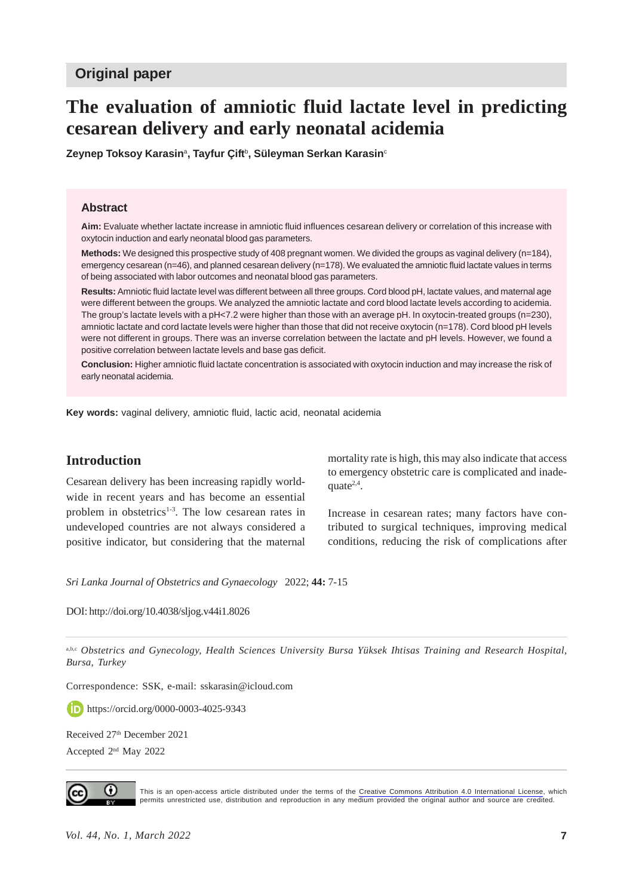## **Original paper**

# **The evaluation of amniotic fluid lactate level in predicting cesarean delivery and early neonatal acidemia**

**Zeynep Toksoy Karasin**<sup>a</sup> **, Tayfur Çift**<sup>b</sup> **, Süleyman Serkan Karasin**<sup>c</sup>

#### **Abstract**

**Aim:** Evaluate whether lactate increase in amniotic fluid influences cesarean delivery or correlation of this increase with oxytocin induction and early neonatal blood gas parameters.

**Methods:** We designed this prospective study of 408 pregnant women. We divided the groups as vaginal delivery (n=184), emergency cesarean (n=46), and planned cesarean delivery (n=178). We evaluated the amniotic fluid lactate values in terms of being associated with labor outcomes and neonatal blood gas parameters.

**Results:** Amniotic fluid lactate level was different between all three groups. Cord blood pH, lactate values, and maternal age were different between the groups. We analyzed the amniotic lactate and cord blood lactate levels according to acidemia. The group's lactate levels with a pH<7.2 were higher than those with an average pH. In oxytocin-treated groups (n=230), amniotic lactate and cord lactate levels were higher than those that did not receive oxytocin (n=178). Cord blood pH levels were not different in groups. There was an inverse correlation between the lactate and pH levels. However, we found a positive correlation between lactate levels and base gas deficit.

**Conclusion:** Higher amniotic fluid lactate concentration is associated with oxytocin induction and may increase the risk of early neonatal acidemia.

**Key words:** vaginal delivery, amniotic fluid, lactic acid, neonatal acidemia

# **Introduction**

Cesarean delivery has been increasing rapidly worldwide in recent years and has become an essential problem in obstetrics<sup>1-3</sup>. The low cesarean rates in undeveloped countries are not always considered a positive indicator, but considering that the maternal

mortality rate is high, this may also indicate that access to emergency obstetric care is complicated and inadequate $2,4$ .

Increase in cesarean rates; many factors have contributed to surgical techniques, improving medical conditions, reducing the risk of complications after

*Sri Lanka Journal of Obstetrics and Gynaecology* 2022; **44:** 7-15

DOI: http://doi.org/10.4038/sljog.v44i1.8026

a,b,c Obstetrics and Gynecology, Health Sciences University Bursa Yüksek Ihtisas Training and Research Hospital, *Bursa, Turkey*

Correspondence: SSK, e-mail: sskarasin@icloud.com

**https://orcid.org/0000-0003-4025-9343** 

Received 27<sup>th</sup> December 2021

Accepted 2nd May 2022



This is an open-access article distributed under the terms of the [Creative Commons Attribution 4.0 International License](https://creativecommons.org/licenses/by/4.0/), which permits unrestricted use, distribution and reproduction in any medium provided the original author and source are credited.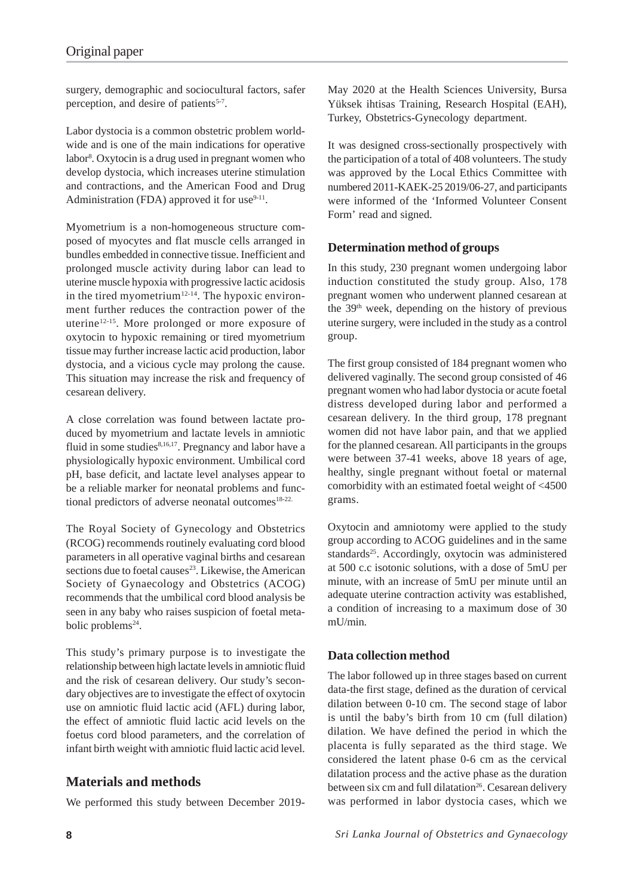surgery, demographic and sociocultural factors, safer perception, and desire of patients<sup>5-7</sup>.

Labor dystocia is a common obstetric problem worldwide and is one of the main indications for operative labor8 . Oxytocin is a drug used in pregnant women who develop dystocia, which increases uterine stimulation and contractions, and the American Food and Drug Administration (FDA) approved it for use $9-11$ .

Myometrium is a non-homogeneous structure composed of myocytes and flat muscle cells arranged in bundles embedded in connective tissue. Inefficient and prolonged muscle activity during labor can lead to uterine muscle hypoxia with progressive lactic acidosis in the tired myometrium<sup>12-14</sup>. The hypoxic environment further reduces the contraction power of the uterine12-15. More prolonged or more exposure of oxytocin to hypoxic remaining or tired myometrium tissue may further increase lactic acid production, labor dystocia, and a vicious cycle may prolong the cause. This situation may increase the risk and frequency of cesarean delivery.

A close correlation was found between lactate produced by myometrium and lactate levels in amniotic fluid in some studies<sup>8,16,17</sup>. Pregnancy and labor have a physiologically hypoxic environment. Umbilical cord pH, base deficit, and lactate level analyses appear to be a reliable marker for neonatal problems and functional predictors of adverse neonatal outcomes $18-22$ .

The Royal Society of Gynecology and Obstetrics (RCOG) recommends routinely evaluating cord blood parameters in all operative vaginal births and cesarean sections due to foetal causes<sup>23</sup>. Likewise, the American Society of Gynaecology and Obstetrics (ACOG) recommends that the umbilical cord blood analysis be seen in any baby who raises suspicion of foetal metabolic problems<sup>24</sup>.

This study's primary purpose is to investigate the relationship between high lactate levels in amniotic fluid and the risk of cesarean delivery. Our study's secondary objectives are to investigate the effect of oxytocin use on amniotic fluid lactic acid (AFL) during labor, the effect of amniotic fluid lactic acid levels on the foetus cord blood parameters, and the correlation of infant birth weight with amniotic fluid lactic acid level.

# **Materials and methods**

We performed this study between December 2019-

May 2020 at the Health Sciences University, Bursa Yüksek ihtisas Training, Research Hospital (EAH), Turkey, Obstetrics-Gynecology department.

It was designed cross-sectionally prospectively with the participation of a total of 408 volunteers. The study was approved by the Local Ethics Committee with numbered 2011-KAEK-25 2019/06-27, and participants were informed of the 'Informed Volunteer Consent Form' read and signed.

## **Determination method of groups**

In this study, 230 pregnant women undergoing labor induction constituted the study group. Also, 178 pregnant women who underwent planned cesarean at the  $39<sup>th</sup>$  week, depending on the history of previous uterine surgery, were included in the study as a control group.

The first group consisted of 184 pregnant women who delivered vaginally. The second group consisted of 46 pregnant women who had labor dystocia or acute foetal distress developed during labor and performed a cesarean delivery. In the third group, 178 pregnant women did not have labor pain, and that we applied for the planned cesarean. All participants in the groups were between 37-41 weeks, above 18 years of age, healthy, single pregnant without foetal or maternal comorbidity with an estimated foetal weight of <4500 grams.

Oxytocin and amniotomy were applied to the study group according to ACOG guidelines and in the same standards<sup>25</sup>. Accordingly, oxytocin was administered at 500 c.c isotonic solutions, with a dose of 5mU per minute, with an increase of 5mU per minute until an adequate uterine contraction activity was established, a condition of increasing to a maximum dose of 30 mU/min.

## **Data collection method**

The labor followed up in three stages based on current data-the first stage, defined as the duration of cervical dilation between 0-10 cm. The second stage of labor is until the baby's birth from 10 cm (full dilation) dilation. We have defined the period in which the placenta is fully separated as the third stage. We considered the latent phase 0-6 cm as the cervical dilatation process and the active phase as the duration between six cm and full dilatation<sup>26</sup>. Cesarean delivery was performed in labor dystocia cases, which we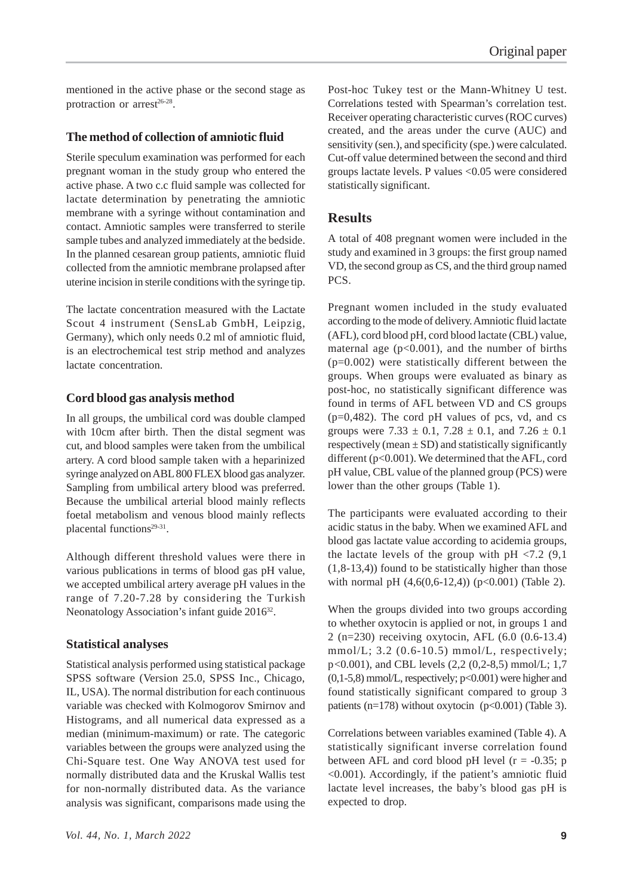mentioned in the active phase or the second stage as protraction or  $arrest^{26-28}$ .

#### **The method of collection of amniotic fluid**

Sterile speculum examination was performed for each pregnant woman in the study group who entered the active phase. A two c.c fluid sample was collected for lactate determination by penetrating the amniotic membrane with a syringe without contamination and contact. Amniotic samples were transferred to sterile sample tubes and analyzed immediately at the bedside. In the planned cesarean group patients, amniotic fluid collected from the amniotic membrane prolapsed after uterine incision in sterile conditions with the syringe tip.

The lactate concentration measured with the Lactate Scout 4 instrument (SensLab GmbH, Leipzig, Germany), which only needs 0.2 ml of amniotic fluid, is an electrochemical test strip method and analyzes lactate concentration.

#### **Cord blood gas analysis method**

In all groups, the umbilical cord was double clamped with 10cm after birth. Then the distal segment was cut, and blood samples were taken from the umbilical artery. A cord blood sample taken with a heparinized syringe analyzed on ABL 800 FLEX blood gas analyzer. Sampling from umbilical artery blood was preferred. Because the umbilical arterial blood mainly reflects foetal metabolism and venous blood mainly reflects placental functions<sup>29-31</sup>.

Although different threshold values were there in various publications in terms of blood gas pH value, we accepted umbilical artery average pH values in the range of 7.20-7.28 by considering the Turkish Neonatology Association's infant guide 2016<sup>32</sup>.

#### **Statistical analyses**

Statistical analysis performed using statistical package SPSS software (Version 25.0, SPSS Inc., Chicago, IL, USA). The normal distribution for each continuous variable was checked with Kolmogorov Smirnov and Histograms, and all numerical data expressed as a median (minimum-maximum) or rate. The categoric variables between the groups were analyzed using the Chi-Square test. One Way ANOVA test used for normally distributed data and the Kruskal Wallis test for non-normally distributed data. As the variance analysis was significant, comparisons made using the

Post-hoc Tukey test or the Mann-Whitney U test. Correlations tested with Spearman's correlation test. Receiver operating characteristic curves (ROC curves) created, and the areas under the curve (AUC) and sensitivity (sen.), and specificity (spe.) were calculated. Cut-off value determined between the second and third groups lactate levels. P values <0.05 were considered statistically significant.

#### **Results**

A total of 408 pregnant women were included in the study and examined in 3 groups: the first group named VD, the second group as CS, and the third group named PCS.

Pregnant women included in the study evaluated according to the mode of delivery. Amniotic fluid lactate (AFL), cord blood pH, cord blood lactate (CBL) value, maternal age  $(p<0.001)$ , and the number of births (p=0.002) were statistically different between the groups. When groups were evaluated as binary as post-hoc, no statistically significant difference was found in terms of AFL between VD and CS groups  $(p=0,482)$ . The cord pH values of pcs, vd, and cs groups were 7.33  $\pm$  0.1, 7.28  $\pm$  0.1, and 7.26  $\pm$  0.1 respectively (mean  $\pm$  SD) and statistically significantly different (p<0.001). We determined that the AFL, cord pH value, CBL value of the planned group (PCS) were lower than the other groups (Table 1).

The participants were evaluated according to their acidic status in the baby. When we examined AFL and blood gas lactate value according to acidemia groups, the lactate levels of the group with  $pH < 7.2$  (9,1) (1,8-13,4)) found to be statistically higher than those with normal pH  $(4,6(0,6-12,4))$  (p<0.001) (Table 2).

When the groups divided into two groups according to whether oxytocin is applied or not, in groups 1 and 2 (n=230) receiving oxytocin, AFL (6.0 (0.6-13.4)  $mmol/L$ ; 3.2 (0.6-10.5)  $mmol/L$ , respectively; p<0.001), and CBL levels (2,2 (0,2-8,5) mmol/L; 1,7 (0,1-5,8) mmol/L, respectively; p<0.001) were higher and found statistically significant compared to group 3 patients (n=178) without oxytocin  $(p<0.001)$  (Table 3).

Correlations between variables examined (Table 4). A statistically significant inverse correlation found between AFL and cord blood pH level  $(r = -0.35; p$ <0.001). Accordingly, if the patient's amniotic fluid lactate level increases, the baby's blood gas pH is expected to drop.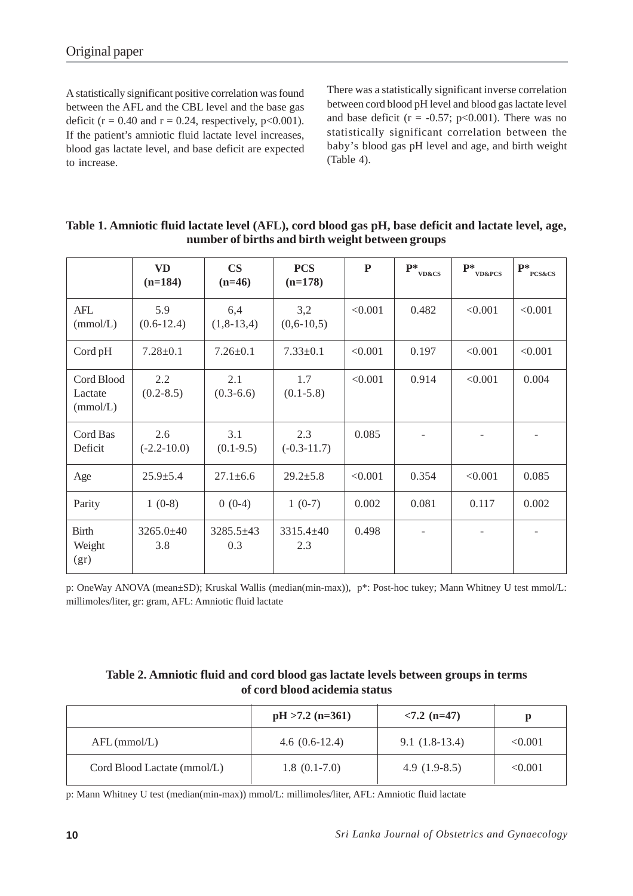A statistically significant positive correlation was found between the AFL and the CBL level and the base gas deficit ( $r = 0.40$  and  $r = 0.24$ , respectively,  $p < 0.001$ ). If the patient's amniotic fluid lactate level increases, blood gas lactate level, and base deficit are expected to increase.

There was a statistically significant inverse correlation between cord blood pH level and blood gas lactate level and base deficit ( $r = -0.57$ ; p<0.001). There was no statistically significant correlation between the baby's blood gas pH level and age, and birth weight (Table 4).

|                                   | <b>VD</b><br>$(n=184)$ | $\mathbf{CS}$<br>$(n=46)$ | <b>PCS</b><br>$(n=178)$ | P       | $\mathbf{P}^*_{\text{VD\&CS}}$ | $\mathbf{P}^*_{\text{v}_{\text{D\&PCS}}}$ | $\mathbf{P}^*_{\text{PCS}\&\text{CS}}$ |
|-----------------------------------|------------------------|---------------------------|-------------------------|---------|--------------------------------|-------------------------------------------|----------------------------------------|
| AFL<br>(mmol/L)                   | 5.9<br>$(0.6 - 12.4)$  | 6,4<br>$(1, 8-13, 4)$     | 3,2<br>$(0,6-10,5)$     | < 0.001 | 0.482                          | < 0.001                                   | < 0.001                                |
| Cord pH                           | $7.28 \pm 0.1$         | $7.26 \pm 0.1$            | $7.33 \pm 0.1$          | < 0.001 | 0.197                          | < 0.001                                   | < 0.001                                |
| Cord Blood<br>Lactate<br>(mmol/L) | 2.2<br>$(0.2 - 8.5)$   | 2.1<br>$(0.3-6.6)$        | 1.7<br>$(0.1 - 5.8)$    | < 0.001 | 0.914                          | < 0.001                                   | 0.004                                  |
| Cord Bas<br>Deficit               | 2.6<br>$(-2.2 - 10.0)$ | 3.1<br>$(0.1-9.5)$        | 2.3<br>$(-0.3-11.7)$    | 0.085   |                                |                                           |                                        |
| Age                               | $25.9 \pm 5.4$         | $27.1 \pm 6.6$            | $29.2 \pm 5.8$          | < 0.001 | 0.354                          | < 0.001                                   | 0.085                                  |
| Parity                            | $1(0-8)$               | $0(0-4)$                  | $1(0-7)$                | 0.002   | 0.081                          | 0.117                                     | 0.002                                  |
| <b>Birth</b><br>Weight<br>(gr)    | $3265.0 \pm 40$<br>3.8 | $3285.5 \pm 43$<br>0.3    | $3315.4 \pm 40$<br>2.3  | 0.498   |                                |                                           |                                        |

| Table 1. Amniotic fluid lactate level (AFL), cord blood gas pH, base deficit and lactate level, age, |  |
|------------------------------------------------------------------------------------------------------|--|
| number of births and birth weight between groups                                                     |  |

p: OneWay ANOVA (mean±SD); Kruskal Wallis (median(min-max)), p\*: Post-hoc tukey; Mann Whitney U test mmol/L: millimoles/liter, gr: gram, AFL: Amniotic fluid lactate

## **Table 2. Amniotic fluid and cord blood gas lactate levels between groups in terms of cord blood acidemia status**

|                             | $pH > 7.2$ (n=361) | $< 7.2$ (n=47)  |         |
|-----------------------------|--------------------|-----------------|---------|
| $AFL$ (mmol/L)              | $4.6(0.6-12.4)$    | $9.1(1.8-13.4)$ | < 0.001 |
| Cord Blood Lactate (mmol/L) | $1.8(0.1-7.0)$     | 4.9 $(1.9-8.5)$ | < 0.001 |

p: Mann Whitney U test (median(min-max)) mmol/L: millimoles/liter, AFL: Amniotic fluid lactate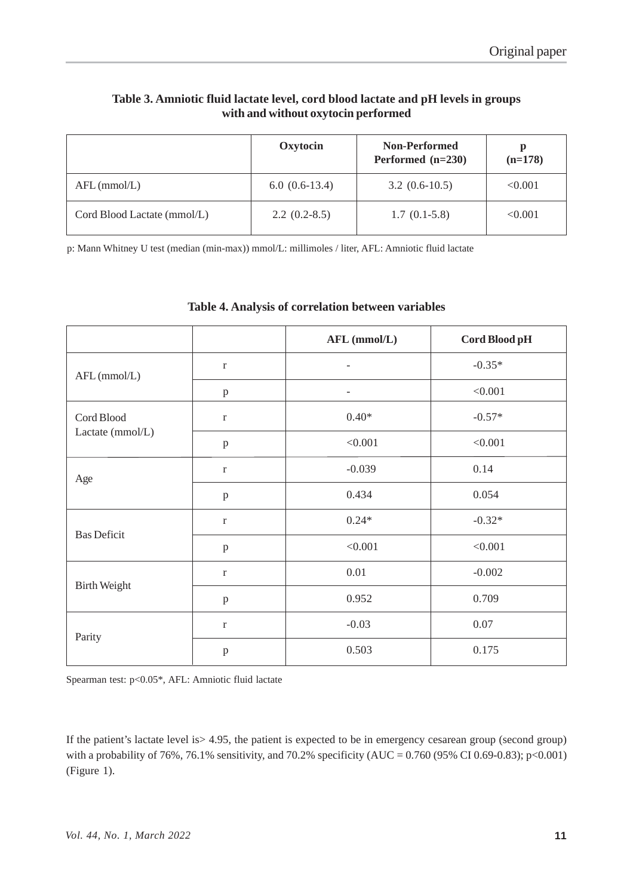## **Table 3. Amniotic fluid lactate level, cord blood lactate and pH levels in groups with and without oxytocin performed**

|                             | Oxytocin        | <b>Non-Performed</b><br>Performed $(n=230)$ | p<br>$(n=178)$ |
|-----------------------------|-----------------|---------------------------------------------|----------------|
| $AFL$ (mmol/L)              | $6.0(0.6-13.4)$ | $3.2(0.6-10.5)$                             | < 0.001        |
| Cord Blood Lactate (mmol/L) | $2.2(0.2-8.5)$  | $1.7(0.1-5.8)$                              | < 0.001        |

p: Mann Whitney U test (median (min-max)) mmol/L: millimoles / liter, AFL: Amniotic fluid lactate

|                     |              | AFL (mmol/L)             | Cord Blood pH |  |
|---------------------|--------------|--------------------------|---------------|--|
| AFL (mmol/L)        | $\mathbf r$  | $\qquad \qquad -$        | $-0.35*$      |  |
|                     | $\, {\bf p}$ | $\overline{\phantom{a}}$ | < 0.001       |  |
| Cord Blood          | $\mathbf r$  | $0.40*$                  | $-0.57*$      |  |
| Lactate (mmol/L)    | $\, {\bf p}$ | < 0.001                  | < 0.001       |  |
| Age                 | $\mathbf r$  | $-0.039$                 | 0.14          |  |
|                     | $\, {\bf p}$ | 0.434                    | 0.054         |  |
| <b>Bas Deficit</b>  | $\mathbf r$  | $0.24*$                  | $-0.32*$      |  |
|                     | $\, {\bf p}$ | < 0.001                  | < 0.001       |  |
|                     | $\Gamma$     | 0.01                     | $-0.002$      |  |
| <b>Birth Weight</b> | $\, {\bf p}$ | 0.952                    | 0.709         |  |
| Parity              | $\mathbf r$  | $-0.03$                  | 0.07          |  |
|                     | $\, {\bf p}$ | 0.503                    | 0.175         |  |

## **Table 4. Analysis of correlation between variables**

Spearman test: p<0.05\*, AFL: Amniotic fluid lactate

If the patient's lactate level is> 4.95, the patient is expected to be in emergency cesarean group (second group) with a probability of 76%, 76.1% sensitivity, and 70.2% specificity (AUC =  $0.760$  (95% CI 0.69-0.83); p<0.001) (Figure 1).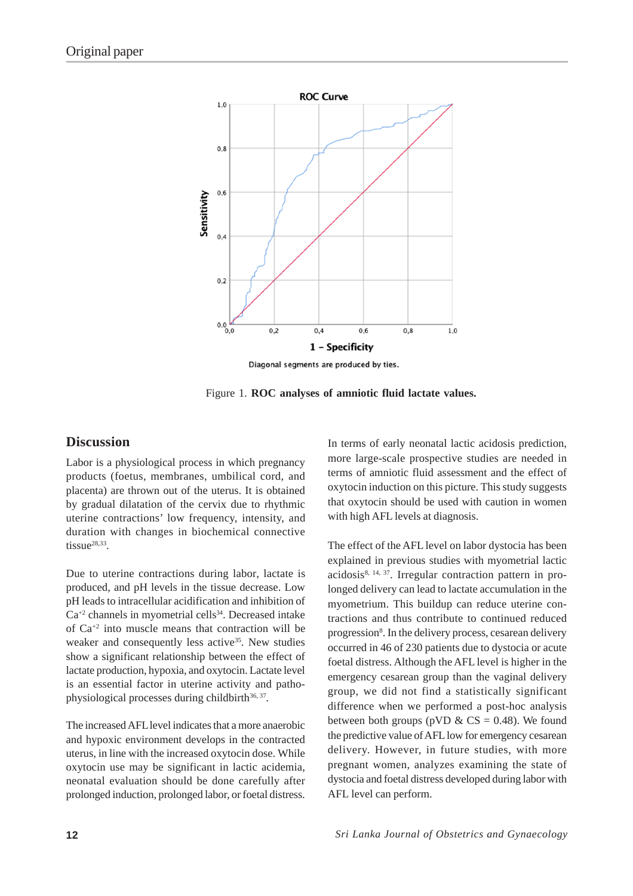

Diagonal segments are produced by ties.

Figure 1. **ROC analyses of amniotic fluid lactate values.**

## **Discussion**

Labor is a physiological process in which pregnancy products (foetus, membranes, umbilical cord, and placenta) are thrown out of the uterus. It is obtained by gradual dilatation of the cervix due to rhythmic uterine contractions' low frequency, intensity, and duration with changes in biochemical connective tissue<sup>28,33</sup>.

Due to uterine contractions during labor, lactate is produced, and pH levels in the tissue decrease. Low pH leads to intracellular acidification and inhibition of  $Ca^{+2}$  channels in myometrial cells<sup>34</sup>. Decreased intake of Ca+2 into muscle means that contraction will be weaker and consequently less active<sup>35</sup>. New studies show a significant relationship between the effect of lactate production, hypoxia, and oxytocin. Lactate level is an essential factor in uterine activity and pathophysiological processes during childbirth $36, 37$ .

The increased AFL level indicates that a more anaerobic and hypoxic environment develops in the contracted uterus, in line with the increased oxytocin dose. While oxytocin use may be significant in lactic acidemia, neonatal evaluation should be done carefully after prolonged induction, prolonged labor, or foetal distress.

In terms of early neonatal lactic acidosis prediction, more large-scale prospective studies are needed in terms of amniotic fluid assessment and the effect of oxytocin induction on this picture. This study suggests that oxytocin should be used with caution in women with high AFL levels at diagnosis.

The effect of the AFL level on labor dystocia has been explained in previous studies with myometrial lactic  $acidosis<sup>8, 14, 37</sup>$ . Irregular contraction pattern in prolonged delivery can lead to lactate accumulation in the myometrium. This buildup can reduce uterine contractions and thus contribute to continued reduced progression<sup>8</sup>. In the delivery process, cesarean delivery occurred in 46 of 230 patients due to dystocia or acute foetal distress. Although the AFL level is higher in the emergency cesarean group than the vaginal delivery group, we did not find a statistically significant difference when we performed a post-hoc analysis between both groups (pVD &  $CS = 0.48$ ). We found the predictive value of AFL low for emergency cesarean delivery. However, in future studies, with more pregnant women, analyzes examining the state of dystocia and foetal distress developed during labor with AFL level can perform.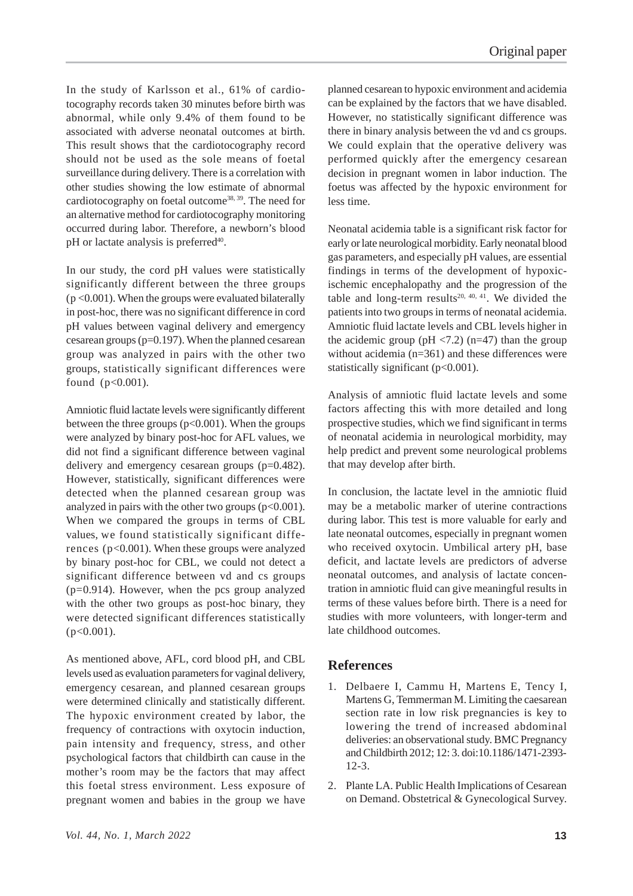In the study of Karlsson et al., 61% of cardiotocography records taken 30 minutes before birth was abnormal, while only 9.4% of them found to be associated with adverse neonatal outcomes at birth. This result shows that the cardiotocography record should not be used as the sole means of foetal surveillance during delivery. There is a correlation with other studies showing the low estimate of abnormal cardiotocography on foetal outcome38, 39. The need for an alternative method for cardiotocography monitoring occurred during labor. Therefore, a newborn's blood pH or lactate analysis is preferred<sup>40</sup>.

In our study, the cord pH values were statistically significantly different between the three groups  $(p \le 0.001)$ . When the groups were evaluated bilaterally in post-hoc, there was no significant difference in cord pH values between vaginal delivery and emergency cesarean groups (p=0.197). When the planned cesarean group was analyzed in pairs with the other two groups, statistically significant differences were found (p<0.001).

Amniotic fluid lactate levels were significantly different between the three groups  $(p<0.001)$ . When the groups were analyzed by binary post-hoc for AFL values, we did not find a significant difference between vaginal delivery and emergency cesarean groups (p=0.482). However, statistically, significant differences were detected when the planned cesarean group was analyzed in pairs with the other two groups  $(p<0.001)$ . When we compared the groups in terms of CBL values, we found statistically significant differences (p<0.001). When these groups were analyzed by binary post-hoc for CBL, we could not detect a significant difference between vd and cs groups  $(p=0.914)$ . However, when the pcs group analyzed with the other two groups as post-hoc binary, they were detected significant differences statistically  $(p<0.001)$ .

As mentioned above, AFL, cord blood pH, and CBL levels used as evaluation parameters for vaginal delivery, emergency cesarean, and planned cesarean groups were determined clinically and statistically different. The hypoxic environment created by labor, the frequency of contractions with oxytocin induction, pain intensity and frequency, stress, and other psychological factors that childbirth can cause in the mother's room may be the factors that may affect this foetal stress environment. Less exposure of pregnant women and babies in the group we have

planned cesarean to hypoxic environment and acidemia can be explained by the factors that we have disabled. However, no statistically significant difference was there in binary analysis between the vd and cs groups. We could explain that the operative delivery was performed quickly after the emergency cesarean decision in pregnant women in labor induction. The foetus was affected by the hypoxic environment for less time.

Neonatal acidemia table is a significant risk factor for early or late neurological morbidity. Early neonatal blood gas parameters, and especially pH values, are essential findings in terms of the development of hypoxicischemic encephalopathy and the progression of the table and long-term results $20, 40, 41$ . We divided the patients into two groups in terms of neonatal acidemia. Amniotic fluid lactate levels and CBL levels higher in the acidemic group (pH  $\langle 7.2 \rangle$  (n=47) than the group without acidemia (n=361) and these differences were statistically significant (p<0.001).

Analysis of amniotic fluid lactate levels and some factors affecting this with more detailed and long prospective studies, which we find significant in terms of neonatal acidemia in neurological morbidity, may help predict and prevent some neurological problems that may develop after birth.

In conclusion, the lactate level in the amniotic fluid may be a metabolic marker of uterine contractions during labor. This test is more valuable for early and late neonatal outcomes, especially in pregnant women who received oxytocin. Umbilical artery pH, base deficit, and lactate levels are predictors of adverse neonatal outcomes, and analysis of lactate concentration in amniotic fluid can give meaningful results in terms of these values before birth. There is a need for studies with more volunteers, with longer-term and late childhood outcomes.

# **References**

- 1. Delbaere I, Cammu H, Martens E, Tency I, Martens G, Temmerman M. Limiting the caesarean section rate in low risk pregnancies is key to lowering the trend of increased abdominal deliveries: an observational study. BMC Pregnancy and Childbirth 2012; 12: 3. doi:10.1186/1471-2393- 12-3.
- 2. Plante LA. Public Health Implications of Cesarean on Demand. Obstetrical & Gynecological Survey.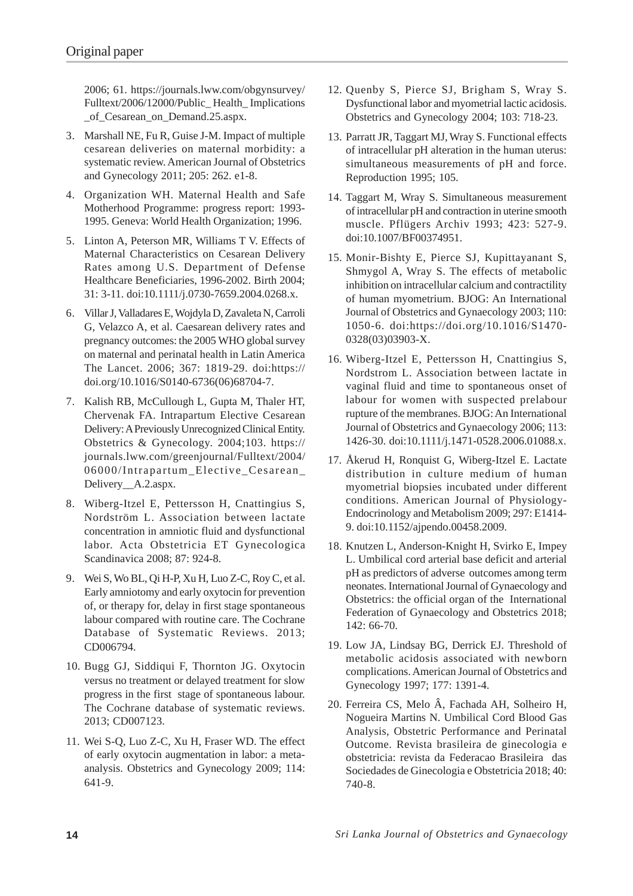2006; 61. https://journals.lww.com/obgynsurvey/ Fulltext/2006/12000/Public\_ Health\_ Implications of Cesarean on Demand.25.aspx.

- 3. Marshall NE, Fu R, Guise J-M. Impact of multiple cesarean deliveries on maternal morbidity: a systematic review. American Journal of Obstetrics and Gynecology 2011; 205: 262. e1-8.
- 4. Organization WH. Maternal Health and Safe Motherhood Programme: progress report: 1993- 1995. Geneva: World Health Organization; 1996.
- 5. Linton A, Peterson MR, Williams T V. Effects of Maternal Characteristics on Cesarean Delivery Rates among U.S. Department of Defense Healthcare Beneficiaries, 1996-2002. Birth 2004; 31: 3-11. doi:10.1111/j.0730-7659.2004.0268.x.
- 6. Villar J, Valladares E, Wojdyla D, Zavaleta N, Carroli G, Velazco A, et al. Caesarean delivery rates and pregnancy outcomes: the 2005 WHO global survey on maternal and perinatal health in Latin America The Lancet. 2006; 367: 1819-29. doi:https:// doi.org/10.1016/S0140-6736(06)68704-7.
- 7. Kalish RB, McCullough L, Gupta M, Thaler HT, Chervenak FA. Intrapartum Elective Cesarean Delivery: A Previously Unrecognized Clinical Entity. Obstetrics & Gynecology. 2004;103. https:// journals.lww.com/greenjournal/Fulltext/2004/ 06000/Intrapartum\_Elective\_Cesarean\_ Delivery A.2.aspx.
- 8. Wiberg-Itzel E, Pettersson H, Cnattingius S, Nordström L. Association between lactate concentration in amniotic fluid and dysfunctional labor. Acta Obstetricia ET Gynecologica Scandinavica 2008; 87: 924-8.
- 9. Wei S, Wo BL, Qi H-P, Xu H, Luo Z-C, Roy C, et al. Early amniotomy and early oxytocin for prevention of, or therapy for, delay in first stage spontaneous labour compared with routine care. The Cochrane Database of Systematic Reviews. 2013; CD006794.
- 10. Bugg GJ, Siddiqui F, Thornton JG. Oxytocin versus no treatment or delayed treatment for slow progress in the first stage of spontaneous labour. The Cochrane database of systematic reviews. 2013; CD007123.
- 11. Wei S-Q, Luo Z-C, Xu H, Fraser WD. The effect of early oxytocin augmentation in labor: a metaanalysis. Obstetrics and Gynecology 2009; 114: 641-9.
- 12. Quenby S, Pierce SJ, Brigham S, Wray S. Dysfunctional labor and myometrial lactic acidosis. Obstetrics and Gynecology 2004; 103: 718-23.
- 13. Parratt JR, Taggart MJ, Wray S. Functional effects of intracellular pH alteration in the human uterus: simultaneous measurements of pH and force. Reproduction 1995; 105.
- 14. Taggart M, Wray S. Simultaneous measurement of intracellular pH and contraction in uterine smooth muscle. Pflügers Archiv 1993; 423: 527-9. doi:10.1007/BF00374951.
- 15. Monir-Bishty E, Pierce SJ, Kupittayanant S, Shmygol A, Wray S. The effects of metabolic inhibition on intracellular calcium and contractility of human myometrium. BJOG: An International Journal of Obstetrics and Gynaecology 2003; 110: 1050-6. doi:https://doi.org/10.1016/S1470- 0328(03)03903-X.
- 16. Wiberg-Itzel E, Pettersson H, Cnattingius S, Nordstrom L. Association between lactate in vaginal fluid and time to spontaneous onset of labour for women with suspected prelabour rupture of the membranes. BJOG: An International Journal of Obstetrics and Gynaecology 2006; 113: 1426-30. doi:10.1111/j.1471-0528.2006.01088.x.
- 17. Åkerud H, Ronquist G, Wiberg-Itzel E. Lactate distribution in culture medium of human myometrial biopsies incubated under different conditions. American Journal of Physiology-Endocrinology and Metabolism 2009; 297: E1414- 9. doi:10.1152/ajpendo.00458.2009.
- 18. Knutzen L, Anderson-Knight H, Svirko E, Impey L. Umbilical cord arterial base deficit and arterial pH as predictors of adverse outcomes among term neonates. International Journal of Gynaecology and Obstetrics: the official organ of the International Federation of Gynaecology and Obstetrics 2018; 142: 66-70.
- 19. Low JA, Lindsay BG, Derrick EJ. Threshold of metabolic acidosis associated with newborn complications. American Journal of Obstetrics and Gynecology 1997; 177: 1391-4.
- 20. Ferreira CS, Melo Â, Fachada AH, Solheiro H, Nogueira Martins N. Umbilical Cord Blood Gas Analysis, Obstetric Performance and Perinatal Outcome. Revista brasileira de ginecologia e obstetricia: revista da Federacao Brasileira das Sociedades de Ginecologia e Obstetricia 2018; 40: 740-8.